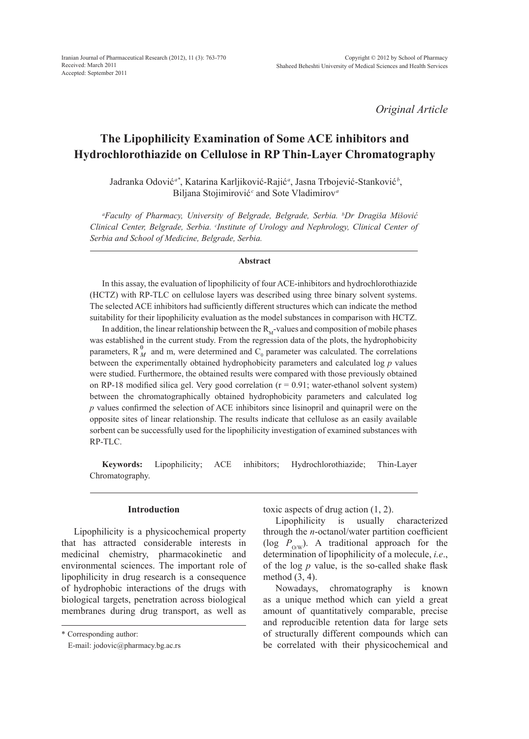Iranian Journal of Pharmaceutical Research (2012), 11 (3): 763-770 Received: March 2011 Accepted: September 2011

*Original Article*

# **The Lipophilicity Examination of Some ACE inhibitors and Hydrochlorothiazide on Cellulose in RP Thin-Layer Chromatography**

Jadranka Odović*a\**, Katarina Karljiković-Rajić*<sup>a</sup>* , Jasna Trbojević-Stanković *<sup>b</sup>* , Biljana Stojimirović*<sup>c</sup>* and Sote Vladimirov*<sup>a</sup>*

*a Faculty of Pharmacy, University of Belgrade, Belgrade, Serbia. b Dr Dragiša Mišović Clinical Center, Belgrade, Serbia. Clnstitute of Urology and Nephrology, Clinical Center of Serbia and School of Medicine, Belgrade, Serbia.*

#### **Abstract**

In this assay, the evaluation of lipophilicity of four ACE-inhibitors and hydrochlorothiazide (HCTZ) with RP-TLC on cellulose layers was described using three binary solvent systems. The selected ACE inhibitors had sufficiently different structures which can indicate the method suitability for their lipophilicity evaluation as the model substances in comparison with HCTZ.

In addition, the linear relationship between the  $R<sub>M</sub>$ -values and composition of mobile phases was established in the current study. From the regression data of the plots, the hydrophobicity parameters,  $R_M^0$  and m, were determined and  $C_0$  parameter was calculated. The correlations between the experimentally obtained hydrophobicity parameters and calculated log *p* values were studied. Furthermore, the obtained results were compared with those previously obtained on RP-18 modified silica gel. Very good correlation  $(r = 0.91)$ ; water-ethanol solvent system) between the chromatographically obtained hydrophobicity parameters and calculated log *p* values confirmed the selection of ACE inhibitors since lisinopril and quinapril were on the opposite sites of linear relationship. The results indicate that cellulose as an easily available sorbent can be successfully used for the lipophilicity investigation of examined substances with RP-TLC.

**Keywords:** Lipophilicity; ACE inhibitors; Hydrochlorothiazide; Thin-Layer Chromatography.

#### **Introduction**

Lipophilicity is a physicochemical property that has attracted considerable interests in medicinal chemistry, pharmacokinetic and environmental sciences. The important role of lipophilicity in drug research is a consequence of hydrophobic interactions of the drugs with biological targets, penetration across biological membranes during drug transport, as well as toxic aspects of drug action (1, 2).

Lipophilicity is usually characterized through the *n*-octanol/water partition coefficient (log  $P_{\text{OW}}$ ). A traditional approach for the determination of lipophilicity of a molecule, *i.e*., of the log *p* value, is the so-called shake flask method (3, 4).

Nowadays, chromatography is known as a unique method which can yield a great amount of quantitatively comparable, precise and reproducible retention data for large sets of structurally different compounds which can be correlated with their physicochemical and

<sup>\*</sup> Corresponding author:

E-mail: jodovic@pharmacy.bg.ac.rs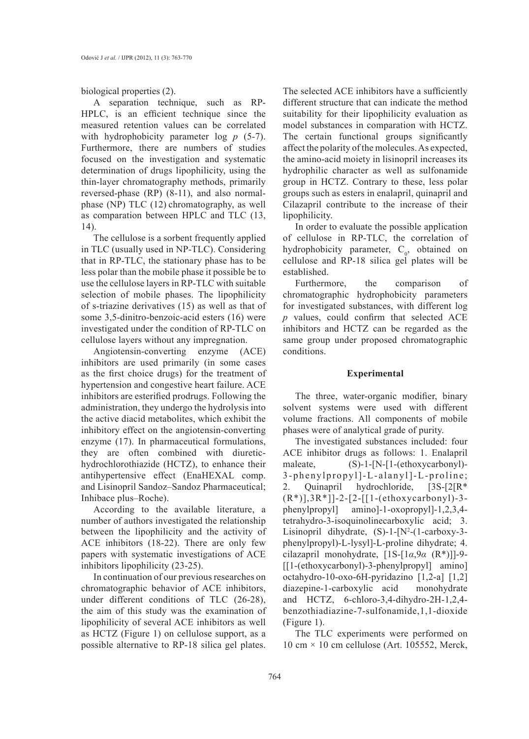biological properties (2).

A separation technique, such as RP-HPLC, is an efficient technique since the measured retention values can be correlated with hydrophobicity parameter log *p* (5-7). Furthermore, there are numbers of studies focused on the investigation and systematic determination of drugs lipophilicity, using the thin-layer chromatography methods, primarily reversed-phase (RP) (8-11), and also normalphase (NP) TLC (12) chromatography, as well as comparation between HPLC and TLC (13, 14).

The cellulose is a sorbent frequently applied in TLC (usually used in NP-TLC). Considering that in RP-TLC, the stationary phase has to be less polar than the mobile phase it possible be to use the cellulose layers in RP-TLC with suitable selection of mobile phases. The lipophilicity of s-triazine derivatives (15) as well as that of some 3,5-dinitro-benzoic-acid esters (16) were investigated under the condition of RP-TLC on cellulose layers without any impregnation.

Angiotensin-converting enzyme (ACE) inhibitors are used primarily (in some cases as the first choice drugs) for the treatment of hypertension and congestive heart failure. ACE inhibitors are esterified prodrugs. Following the administration, they undergo the hydrolysis into the active diacid metabolites, which exhibit the inhibitory effect on the angiotensin-converting enzyme (17). In pharmaceutical formulations, they are often combined with diuretichydrochlorothiazide (HCTZ), to enhance their antihypertensive effect (EnaHEXAL comp. and Lisinopril Sandoz–Sandoz Pharmaceutical; Inhibace plus–Roche).

According to the available literature, a number of authors investigated the relationship between the lipophilicity and the activity of ACE inhibitors (18-22). There are only few papers with systematic investigations of ACE inhibitors lipophilicity (23-25).

In continuation of our previous researches on chromatographic behavior of ACE inhibitors, under different conditions of TLC (26-28), the aim of this study was the examination of lipophilicity of several ACE inhibitors as well as HCTZ (Figure 1) on cellulose support, as a possible alternative to RP-18 silica gel plates.

The selected ACE inhibitors have a sufficiently different structure that can indicate the method suitability for their lipophilicity evaluation as model substances in comparation with HCTZ. The certain functional groups significantly affect the polarity of the molecules. As expected, the amino-acid moiety in lisinopril increases its hydrophilic character as well as sulfonamide group in HCTZ. Contrary to these, less polar groups such as esters in enalapril, quinapril and Cilazapril contribute to the increase of their lipophilicity.

In order to evaluate the possible application of cellulose in RP-TLC, the correlation of hydrophobicity parameter,  $C_0$ , obtained on cellulose and RP-18 silica gel plates will be established.

Furthermore, the comparison of chromatographic hydrophobicity parameters for investigated substances, with different log *p* values, could confirm that selected ACE inhibitors and HCTZ can be regarded as the same group under proposed chromatographic conditions.

## **Experimental**

The three, water-organic modifier, binary solvent systems were used with different volume fractions. All components of mobile phases were of analytical grade of purity.

The investigated substances included: four ACE inhibitor drugs as follows: 1. Enalapril maleate, (S)-1-[N-[1-(ethoxycarbonyl)-3-phenylpropyl]-L-alanyl]-L-proline; 2. Quinapril hydrochloride, [3S-[2[R\* (R\*)],3R\*]]-2-[2-[[1-(ethoxycarbonyl)-3 phenylpropyl] amino]-1-oxopropyl]-1,2,3,4 tetrahydro-3-isoquinolinecarboxylic acid; 3. Lisinopril dihydrate,  $(S)-1-[N^2-(1-carboxy-3-1]$ phenylpropyl)-L-lysyl]-L-proline dihydrate; 4. cilazapril monohydrate, [1S-[1*α*,9*α* (R\*)]]-9- [[1-(ethoxycarbonyl)-3-phenylpropyl] amino] octahydro-10-oxo-6H-pyridazino [1,2-a] [1,2] diazepine-1-carboxylic acid monohydrate and HCTZ, 6-chloro-3,4-dihydro-2H-1,2,4 benzothiadiazine-7-sulfonamide,1,1-dioxide (Figure 1).

The TLC experiments were performed on 10 cm  $\times$  10 cm cellulose (Art. 105552, Merck,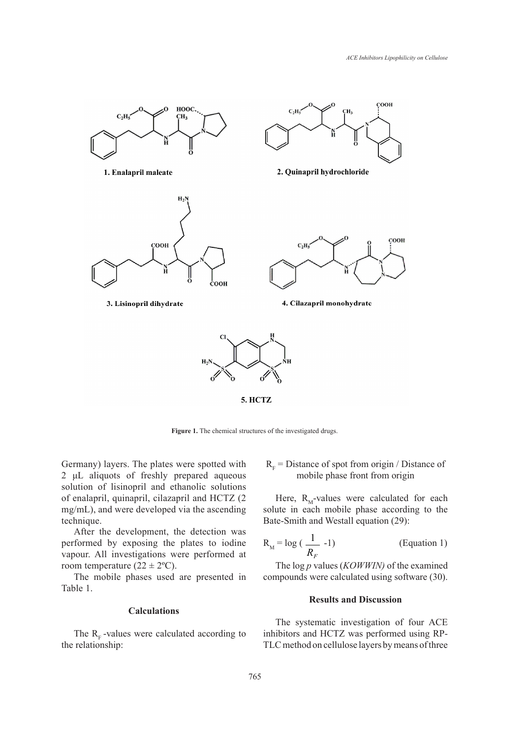

**Figure 1.** The chemical structures of the investigated drugs. **Figure 1.** The chemical structures of the investigated drugs

Germany) layers. The plates were spotted with 2 μL aliquots of freshly prepared aqueous  $\frac{1}{2}$   $\frac{1}{2}$  and  $\frac{1}{2}$  and  $\frac{1}{2}$  solution of lisinopril and ethanolic solutions of enalapril, quinapril, cilazapril and HCTZ (2  $\text{cm}$  mg/mL), and were developed via the ascending technique.

After the development, the detection was performed by exposing the plates to iodine vapour. All investigations were performed at room temperature  $(22 \pm 2^{\circ}C)$ .

The mobile phases used are presented in Table 1.

#### **Calculations**

The  $R<sub>F</sub>$ -values were calculated according to the relationship:

any) layers. The plates were spotted with  $R_F = D$  istance of spot from origin / Distance of mobile phase front from origin

> Here,  $R_M$ -values were calculated for each solute in each mobile phase according to the Bate-Smith and Westall equation (29):

$$
R_M = \log\left(\frac{1}{R_F} - 1\right) \tag{Equation 1}
$$

The log *p* values (*KOWWIN)* of the examined compounds were calculated using software (30).

# **Results and Discussion**

The systematic investigation of four ACE inhibitors and HCTZ was performed using RP-TLC method on cellulose layers by means of three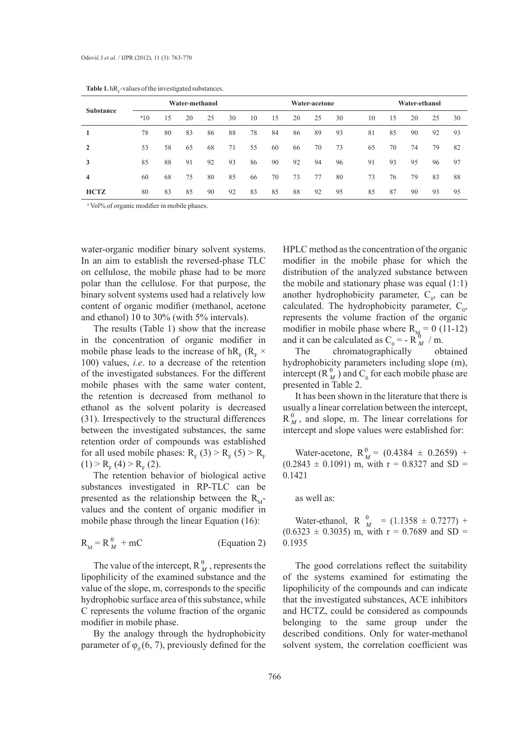| <b>Substance</b> | Water-methanol |    |    |    |    |    | Water-acetone |    |    | Water-ethanol |    |    |    |    |    |
|------------------|----------------|----|----|----|----|----|---------------|----|----|---------------|----|----|----|----|----|
|                  | a10            | 15 | 20 | 25 | 30 | 10 | 15            | 20 | 25 | 30            | 10 | 15 | 20 | 25 | 30 |
|                  | 78             | 80 | 83 | 86 | 88 | 78 | 84            | 86 | 89 | 93            | 81 | 85 | 90 | 92 | 93 |
| $\mathbf{2}$     | 53             | 58 | 65 | 68 | 71 | 55 | 60            | 66 | 70 | 73            | 65 | 70 | 74 | 79 | 82 |
| 3                | 85             | 88 | 91 | 92 | 93 | 86 | 90            | 92 | 94 | 96            | 91 | 93 | 95 | 96 | 97 |
| 4                | 60             | 68 | 75 | 80 | 85 | 66 | 70            | 73 | 77 | 80            | 73 | 76 | 79 | 83 | 88 |
| <b>HCTZ</b>      | 80             | 83 | 85 | 90 | 92 | 83 | 85            | 88 | 92 | 95            | 85 | 87 | 90 | 93 | 95 |

**Table 1.**  $hR$ <sub>F</sub>-values of the investigated substances.

<sup>a</sup> Vol% of organic modifier in mobile phases.

water-organic modifier binary solvent systems. In an aim to establish the reversed-phase TLC on cellulose, the mobile phase had to be more polar than the cellulose. For that purpose, the binary solvent systems used had a relatively low content of organic modifier (methanol, acetone and ethanol) 10 to 30% (with 5% intervals).

The results (Table 1) show that the increase in the concentration of organic modifier in mobile phase leads to the increase of  $hR_F$  ( $R_F \times$ 100) values, *i.e*. to a decrease of the retention of the investigated substances. For the different mobile phases with the same water content, the retention is decreased from methanol to ethanol as the solvent polarity is decreased (31). Irrespectively to the structural differences between the investigated substances, the same retention order of compounds was established for all used mobile phases:  $R_F(3) > R_F(5) > R_F$  $(1) > R_{F}(4) > R_{F}(2).$ 

The retention behavior of biological active substances investigated in RP-TLC can be presented as the relationship between the  $R_M$ values and the content of organic modifier in mobile phase through the linear Equation (16):

$$
R_M = R_M^0 + mC
$$
 (Equation 2)

The value of the intercept,  $R_M^0$ , represents the lipophilicity of the examined substance and the value of the slope, m, corresponds to the specific hydrophobic surface area of this substance, while C represents the volume fraction of the organic modifier in mobile phase.

By the analogy through the hydrophobicity parameter of  $\varphi$ <sub>0</sub>(6, 7), previously defined for the HPLC method as the concentration of the organic modifier in the mobile phase for which the distribution of the analyzed substance between the mobile and stationary phase was equal (1:1) another hydrophobicity parameter,  $C_0$ , can be calculated. The hydrophobicity parameter,  $C_0$ , represents the volume fraction of the organic modifier in mobile phase where  $R_{\text{M}} = 0$  (11-12) and it can be calculated as  $C_0 = -R_M^0 / m$ .

The chromatographically obtained hydrophobicity parameters including slope (m), intercept ( $R_M^0$ ) and  $C_0$  for each mobile phase are presented in Table 2.

It has been shown in the literature that there is usually a linear correlation between the intercept,  $R_M^0$ , and slope, m. The linear correlations for intercept and slope values were established for:

Water-acetone,  $R_M^0 = (0.4384 \pm 0.2659) +$  $(0.2843 \pm 0.1091)$  m, with  $r = 0.8327$  and SD = 0.1421  $\boldsymbol{0}$ *M*

#### as well as:

Water-ethanol, R  $_{M}^{0}$  = (1.1358 ± 0.7277) +  $(0.6323 \pm 0.3035)$  m, with r = 0.7689 and SD = 0.1935  $\boldsymbol{0}$ *M*

The good correlations reflect the suitability of the systems examined for estimating the lipophilicity of the compounds and can indicate that the investigated substances, ACE inhibitors and HCTZ, could be considered as compounds belonging to the same group under the described conditions. Only for water-methanol solvent system, the correlation coefficient was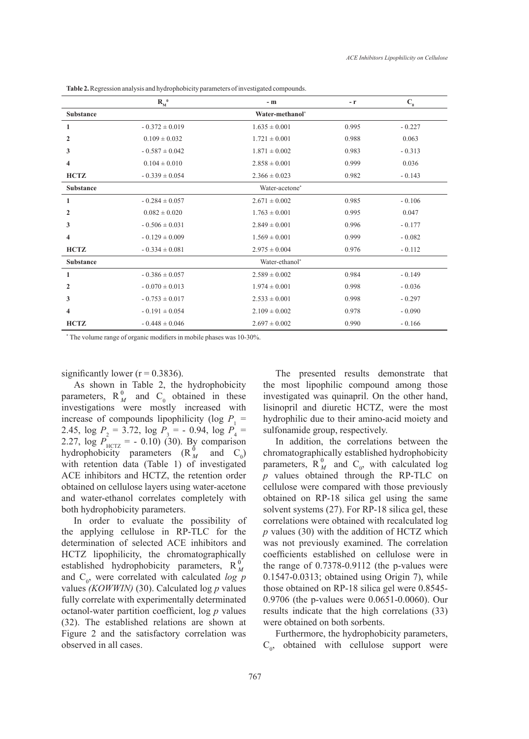|                         | $R_M^0$            | $-$ m             | $-r$  | $\mathbf{C}_{0}$ |  |  |  |  |
|-------------------------|--------------------|-------------------|-------|------------------|--|--|--|--|
| <b>Substance</b>        | Water-methanol*    |                   |       |                  |  |  |  |  |
| 1                       | $-0.372 \pm 0.019$ | $1.635 \pm 0.001$ | 0.995 | $-0.227$         |  |  |  |  |
| $\overline{2}$          | $0.109 \pm 0.032$  | $1.721 \pm 0.001$ | 0.988 | 0.063            |  |  |  |  |
| 3                       | $-0.587 \pm 0.042$ | $1.871 \pm 0.002$ | 0.983 | $-0.313$         |  |  |  |  |
| 4                       | $0.104 \pm 0.010$  | $2.858 \pm 0.001$ | 0.999 | 0.036            |  |  |  |  |
| <b>HCTZ</b>             | $-0.339 \pm 0.054$ | $2.366 \pm 0.023$ | 0.982 | $-0.143$         |  |  |  |  |
| <b>Substance</b>        | Water-acetone*     |                   |       |                  |  |  |  |  |
| 1                       | $-0.284 \pm 0.057$ | $2.671 \pm 0.002$ | 0.985 | $-0.106$         |  |  |  |  |
| $\overline{2}$          | $0.082 \pm 0.020$  | $1.763 \pm 0.001$ | 0.995 | 0.047            |  |  |  |  |
| 3                       | $-0.506 \pm 0.031$ | $2.849 \pm 0.001$ | 0.996 | $-0.177$         |  |  |  |  |
| 4                       | $-0.129 \pm 0.009$ | $1.569 \pm 0.001$ | 0.999 | $-0.082$         |  |  |  |  |
| <b>HCTZ</b>             | $-0.334 \pm 0.081$ | $2.975 \pm 0.004$ | 0.976 | $-0.112$         |  |  |  |  |
| <b>Substance</b>        | Water-ethanol*     |                   |       |                  |  |  |  |  |
| 1                       | $-0.386 \pm 0.057$ | $2.589 \pm 0.002$ | 0.984 | $-0.149$         |  |  |  |  |
| 2                       | $-0.070 \pm 0.013$ | $1.974 \pm 0.001$ | 0.998 | $-0.036$         |  |  |  |  |
| 3                       | $-0.753 \pm 0.017$ | $2.533 \pm 0.001$ | 0.998 | $-0.297$         |  |  |  |  |
| $\overline{\mathbf{4}}$ | $-0.191 \pm 0.054$ | $2.109 \pm 0.002$ | 0.978 | $-0.090$         |  |  |  |  |
| <b>HCTZ</b>             | $-0.448 \pm 0.046$ | $2.697 \pm 0.002$ | 0.990 | $-0.166$         |  |  |  |  |

**Table 2.**Regression analysis and hydrophobicity parameters of investigated compounds.

\* The volume range of organic modifiers in mobile phases was 10-30%.

significantly lower ( $r = 0.3836$ ).

As shown in Table 2, the hydrophobicity parameters,  $R_M^0$  and  $C_0$  obtained in these investigations were mostly increased with increase of compounds lipophilicity (log  $P_1$  = 2.45,  $\log P_2 = 3.72$ ,  $\log P_3 = -0.94$ ,  $\log P_4 =$ 2.27,  $\log P_{\text{HCTZ}} = -0.10$  (30). By comparison hydrophobicity parameters  $(R_M^0$  and  $C_0$ ) with retention data (Table 1) of investigated ACE inhibitors and HCTZ, the retention order obtained on cellulose layers using water-acetone and water-ethanol correlates completely with both hydrophobicity parameters.

In order to evaluate the possibility of the applying cellulose in RP-TLC for the determination of selected ACE inhibitors and HCTZ lipophilicity, the chromatographically established hydrophobicity parameters,  $R_M^0$ and C<sub>0</sub>, were correlated with calculated *log p* values *(KOWWIN)* (30). Calculated log *p* values fully correlate with experimentally determinated octanol-water partition coefficient, log *p* values (32). The established relations are shown at Figure 2 and the satisfactory correlation was observed in all cases.

The presented results demonstrate that the most lipophilic compound among those investigated was quinapril. On the other hand, lisinopril and diuretic HCTZ, were the most hydrophilic due to their amino-acid moiety and sulfonamide group, respectively.

In addition, the correlations between the chromatographically established hydrophobicity parameters,  $R_M^0$  and  $C_0$ , with calculated log *p* values obtained through the RP-TLC on cellulose were compared with those previously obtained on RP-18 silica gel using the same solvent systems (27). For RP-18 silica gel, these correlations were obtained with recalculated log *p* values (30) with the addition of HCTZ which was not previously examined. The correlation coefficients established on cellulose were in the range of 0.7378-0.9112 (the p-values were 0.1547-0.0313; obtained using Origin 7), while those obtained on RP-18 silica gel were 0.8545- 0.9706 (the p-values were 0.0651-0.0060). Our results indicate that the high correlations (33) were obtained on both sorbents.

Furthermore, the hydrophobicity parameters,  $C_0$ , obtained with cellulose support were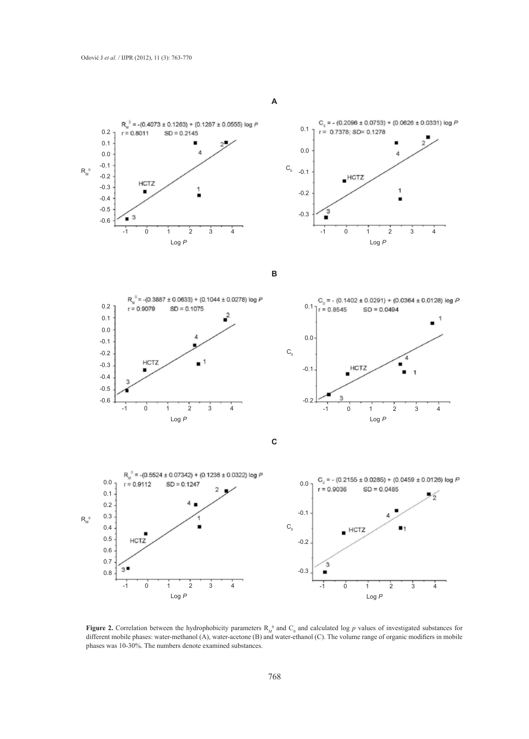



**B**





**C**



**Figure 2.** Correlation between the hydrophobicity parameters  $R_M^0$  and  $C_0$  and calculated log p values of investigated substances for different mobile phases: water-methanol (A), water-acetone (B) and water-ethanol (C). The volume range of organic modifiers in mobile phases was 10-30%. The numbers denote examined substances.

**A**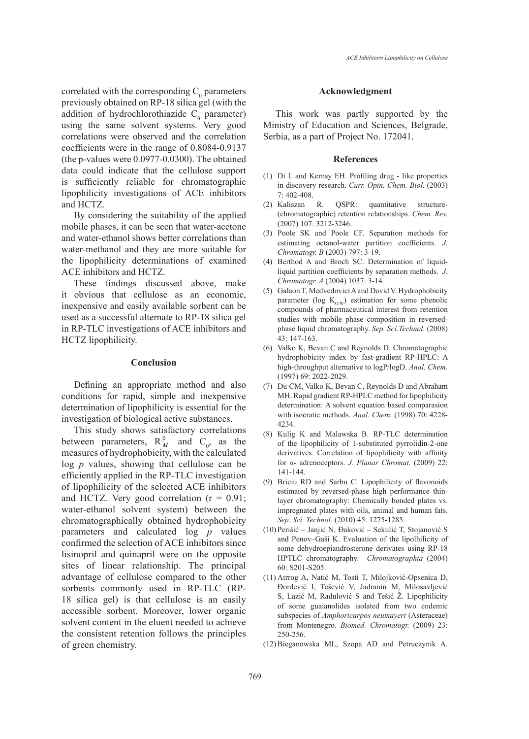correlated with the corresponding  $C_0$  parameters previously obtained on RP-18 silica gel (with the addition of hydrochlorothiazide  $C_0$  parameter) using the same solvent systems. Very good correlations were observed and the correlation coefficients were in the range of 0.8084-0.9137 (the p-values were 0.0977-0.0300). The obtained data could indicate that the cellulose support is sufficiently reliable for chromatographic lipophilicity investigations of ACE inhibitors and HCTZ.

By considering the suitability of the applied mobile phases, it can be seen that water-acetone and water-ethanol shows better correlations than water-methanol and they are more suitable for the lipophilicity determinations of examined ACE inhibitors and HCTZ.

These findings discussed above, make it obvious that cellulose as an economic, inexpensive and easily available sorbent can be used as a successful alternate to RP-18 silica gel in RP-TLC investigations of ACE inhibitors and HCTZ lipophilicity.

### **Conclusion**

Defining an appropriate method and also conditions for rapid, simple and inexpensive determination of lipophilicity is essential for the investigation of biological active substances.

This study shows satisfactory correlations between parameters,  $R_M^0$  and  $C_0$ , as the measures of hydrophobicity, with the calculated log *p* values, showing that cellulose can be efficiently applied in the RP-TLC investigation of lipophilicity of the selected ACE inhibitors and HCTZ. Very good correlation  $(r = 0.91)$ ; water-ethanol solvent system) between the chromatographically obtained hydrophobicity parameters and calculated log *p* values confirmed the selection of ACE inhibitors since lisinopril and quinapril were on the opposite sites of linear relationship. The principal advantage of cellulose compared to the other sorbents commonly used in RP-TLC (RP-18 silica gel) is that cellulose is an easily accessible sorbent. Moreover, lower organic solvent content in the eluent needed to achieve the consistent retention follows the principles of green chemistry.

#### **Acknowledgment**

This work was partly supported by the Ministry of Education and Sciences, Belgrade, Serbia, as a part of Project No. 172041.

#### **References**

- $(1)$  Di L and Kernsy EH. Profiling drug like properties in discovery research. *Curr. Opin. Chem. Biol.* (2003) 7: 402-408.
- R. QSPR: quantitative structure-(chromatographic) retention relationships. *Chem. Rev.*  (2007) 107: 3212-3246. (2) Kaliszan
- (3) Poole SK and Poole CF. Separation methods for estimating octanol-water partition coefficients. *J. Chromatogr. B* (2003) 797: 3-19.
- (4) Berthod A and Broch SC. Determination of liquidliquid partition coefficients by separation methods. *J. Chromatogr. A* (2004) 1037: 3-14.
- (5) Galaon T, Medvedovici A and David V. Hydrophobicity parameter (log  $K_{0/W}$ ) estimation for some phenolic compounds of pharmaceutical interest from retention studies with mobile phase composition in reversedphase liquid chromatography. *Sep. Sci.Technol.* (2008) 43: 147-163.
- $(6)$  Valko K, Bevan C and Reynolds D. Chromatographic hydrophobicity index by fast-gradient RP-HPLC: A high-throughput alternative to logP/logD. *Anal. Chem.*  (1997) 69: 2022-2029.
- (7) Du CM, Valko K, Bevan C, Reynolds D and Abraham MH. Rapid gradient RP-HPLC method for lipophilicity determination: A solvent equation based comparasion with isocratic methods. *Anal. Chem.* (1998) 70: 4228- 4234.
- $(8)$  Kulig K and Malawska B. RP-TLC determination of the lipophilicity of 1-substituted pyrrolidin-2-one derivatives. Correlation of lipophilicity with affinity for *α*- adrenoceptors. *J. Planar Chromat.* (2009) 22: 141-144.
- Briciu RD and Sarbu C. Lipophilicity of flavonoids (9) estimated by reversed-phase high performance thinlayer chromatography: Chemically bonded plates vs. impregnated plates with oils, animal and human fats. *Sep. Sci. Technol.* (2010) 45: 1275-1285.
- (10) Perišić Janjić N, Đaković Sekulić T, Stojanović S and Penov–Gaši K. Evaluation of the lipolhilicity of some dehydroepiandrosterone derivates using RP-18 HPTLC chromatography. *Chromatographia* (2004) 60: S201-S205.
- (11) Atrrog A, Natić M, Tosti T, Milojković-Opsenica D, Đorđević I, Tešević V, Jadranin M, Milosavljević S, Lazić M, Radulović S and Tešić Ž. Lipophilicity of some guaianolides isolated from two endemic subspecies of *Amphoricarpos neumayeri* (Asteraceae) from Montenegro. *Biomed. Chromatogr.* (2009) 23: 250-256.
- Bieganowska ML, Szopa AD and Petruczynik A. (12)